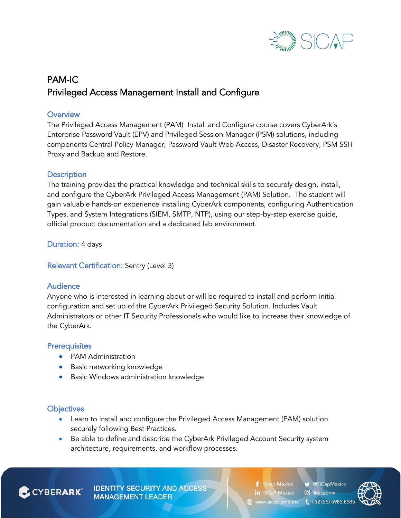

# PAM-IC Privileged Access Management Install and Configure

## **Overview**

The Privileged Access Management (PAM) Install and Configure course covers CyberArk's Enterprise Password Vault (EPV) and Privileged Session Manager (PSM) solutions, including components Central Policy Manager, Password Vault Web Access, Disaster Recovery, PSM SSH Proxy and Backup and Restore.

## **Description**

The training provides the practical knowledge and technical skills to securely design, install, and configure the CyberArk Privileged Access Management (PAM) Solution. The student will gain valuable hands-on experience installing CyberArk components, configuring Authentication Types, and System Integrations (SIEM, SMTP, NTP), using our step-by-step exercise guide, official product documentation and a dedicated lab environment.

Duration: 4 days

## Relevant Certification: Sentry (Level 3)

## Audience

Anyone who is interested in learning about or will be required to install and perform initial configuration and set up of the CyberArk Privileged Security Solution. Includes Vault Administrators or other IT Security Professionals who would like to increase their knowledge of the CyberArk.

## **Prerequisites**

- PAM Administration
- Basic networking knowledge
- Basic Windows administration knowledge

## **Objectives**

- Learn to install and configure the Privileged Access Management (PAM) solution securely following Best Practices.
- Be able to define and describe the CyberArk Privileged Account Security system architecture, requirements, and workflow processes.

**CYBERARK** 

**IDENTITY SECURITY AND ACCESS MANAGEMENT LEADER** 

SiCapMexico **Sicap Mexico** in SiCaP Mexico C @sicapmx